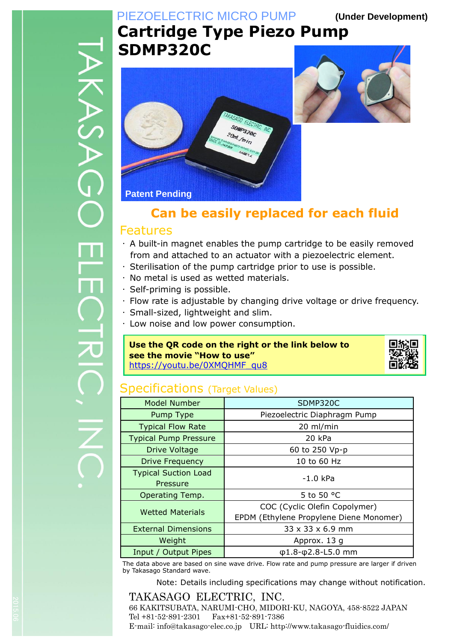## **Cartridge Type Piezo Pump** PIEZOELECTRIC MICRO PUMP **(Under Development) SDMP320C**





**Patent Pending**

# **Can be easily replaced for each fluid**

#### J Features

 $\overline{\phantom{a}}$ 

- ・ A built-in magnet enables the pump cartridge to be easily removed from and attached to an actuator with a piezoelectric element.
- ・ Sterilisation of the pump cartridge prior to use is possible.
- ・ No metal is used as wetted materials.
- ・ Self-priming is possible.
- ・ Flow rate is adjustable by changing drive voltage or drive frequency.
- ・ Small-sized, lightweight and slim.
- ・ Low noise and low power consumption.

| Use the QR code on the right or the link below to |                              |  |  |
|---------------------------------------------------|------------------------------|--|--|
| see the movie "How to use"                        |                              |  |  |
|                                                   | https://youtu.be/0XMQHMF qu8 |  |  |



## Specifications (Target Values)

| <b>Model Number</b>          | SDMP320C                                |  |
|------------------------------|-----------------------------------------|--|
| Pump Type                    | Piezoelectric Diaphragm Pump            |  |
| <b>Typical Flow Rate</b>     | 20 ml/min                               |  |
| <b>Typical Pump Pressure</b> | 20 kPa                                  |  |
| <b>Drive Voltage</b>         | 60 to 250 Vp-p                          |  |
| <b>Drive Frequency</b>       | 10 to 60 Hz                             |  |
| <b>Typical Suction Load</b>  | $-1.0$ kPa                              |  |
| Pressure                     |                                         |  |
| Operating Temp.              | 5 to 50 °C                              |  |
| <b>Wetted Materials</b>      | COC (Cyclic Olefin Copolymer)           |  |
|                              | EPDM (Ethylene Propylene Diene Monomer) |  |
| <b>External Dimensions</b>   | 33 x 33 x 6.9 mm                        |  |
| Weight                       | Approx. 13 g                            |  |
| Input / Output Pipes         | $\phi$ 1.8- $\phi$ 2.8-L5.0 mm          |  |

The data above are based on sine wave drive. Flow rate and pump pressure are larger if driven by Takasago Standard wave.

Note: Details including specifications may change without notification.

### TAKASAGO ELECTRIC, INC.

66 KAKITSUBATA, NARUMI-CHO, MIDORI-KU, NAGOYA, 458-8522 JAPAN Tel +81-52-891-2301 Fax+81-52-891-7386 E-mail: info@takasago-elec.co.jp URL: http://www.takasago-fluidics.com/